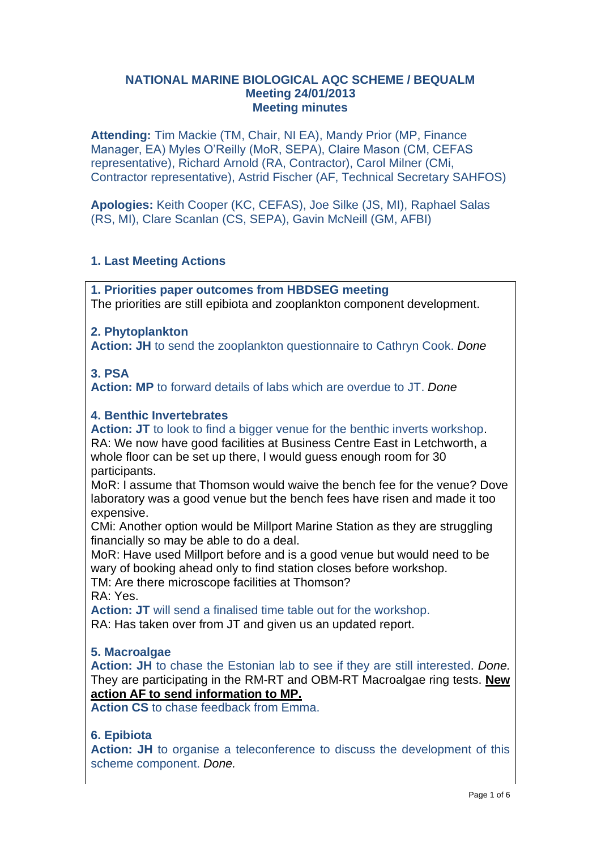#### **NATIONAL MARINE BIOLOGICAL AQC SCHEME / BEQUALM Meeting 24/01/2013 Meeting minutes**

**Attending:** Tim Mackie (TM, Chair, NI EA), Mandy Prior (MP, Finance Manager, EA) Myles O'Reilly (MoR, SEPA), Claire Mason (CM, CEFAS representative), Richard Arnold (RA, Contractor), Carol Milner (CMi, Contractor representative), Astrid Fischer (AF, Technical Secretary SAHFOS)

**Apologies:** Keith Cooper (KC, CEFAS), Joe Silke (JS, MI), Raphael Salas (RS, MI), Clare Scanlan (CS, SEPA), Gavin McNeill (GM, AFBI)

# **1. Last Meeting Actions**

**1. Priorities paper outcomes from HBDSEG meeting** The priorities are still epibiota and zooplankton component development.

# **2. Phytoplankton**

**Action: JH** to send the zooplankton questionnaire to Cathryn Cook. *Done*

# **3. PSA**

**Action: MP** to forward details of labs which are overdue to JT. *Done*

# **4. Benthic Invertebrates**

**Action: JT** to look to find a bigger venue for the benthic inverts workshop. RA: We now have good facilities at Business Centre East in Letchworth, a whole floor can be set up there, I would guess enough room for 30 participants.

MoR: I assume that Thomson would waive the bench fee for the venue? Dove laboratory was a good venue but the bench fees have risen and made it too expensive.

CMi: Another option would be Millport Marine Station as they are struggling financially so may be able to do a deal.

MoR: Have used Millport before and is a good venue but would need to be wary of booking ahead only to find station closes before workshop.

TM: Are there microscope facilities at Thomson?

RA: Yes.

**Action: JT** will send a finalised time table out for the workshop.

RA: Has taken over from JT and given us an updated report.

# **5. Macroalgae**

**Action: JH** to chase the Estonian lab to see if they are still interested. *Done.*  They are participating in the RM-RT and OBM-RT Macroalgae ring tests. **New action AF to send information to MP.**

**Action CS** to chase feedback from Emma.

# **6. Epibiota**

**Action: JH** to organise a teleconference to discuss the development of this scheme component. *Done.*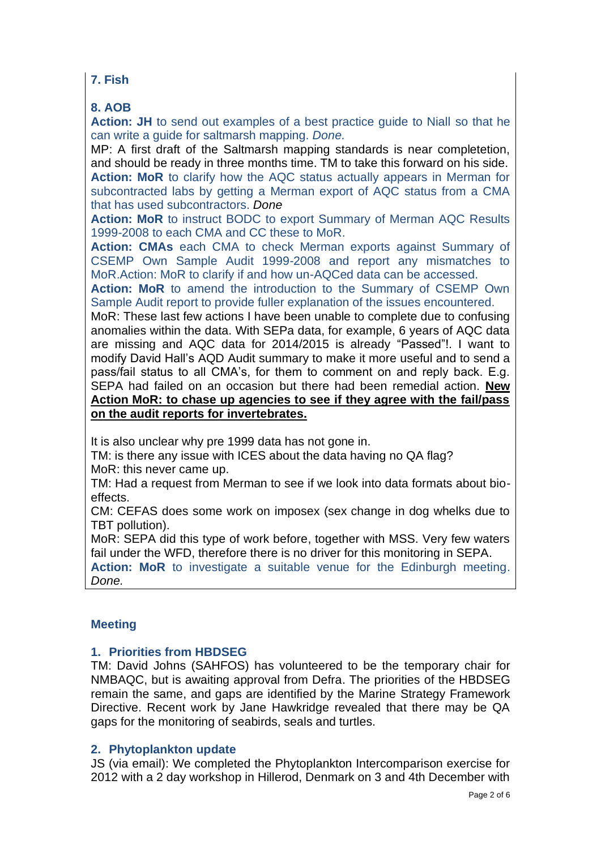# **7. Fish**

# **8. AOB**

**Action: JH** to send out examples of a best practice guide to Niall so that he can write a guide for saltmarsh mapping. *Done.*

MP: A first draft of the Saltmarsh mapping standards is near completetion, and should be ready in three months time. TM to take this forward on his side. **Action: MoR** to clarify how the AQC status actually appears in Merman for subcontracted labs by getting a Merman export of AQC status from a CMA that has used subcontractors. *Done*

**Action: MoR** to instruct BODC to export Summary of Merman AQC Results 1999-2008 to each CMA and CC these to MoR.

**Action: CMAs** each CMA to check Merman exports against Summary of CSEMP Own Sample Audit 1999-2008 and report any mismatches to MoR.Action: MoR to clarify if and how un-AQCed data can be accessed.

**Action: MoR** to amend the introduction to the Summary of CSEMP Own Sample Audit report to provide fuller explanation of the issues encountered.

MoR: These last few actions I have been unable to complete due to confusing anomalies within the data. With SEPa data, for example, 6 years of AQC data are missing and AQC data for 2014/2015 is already "Passed"!. I want to modify David Hall's AQD Audit summary to make it more useful and to send a pass/fail status to all CMA's, for them to comment on and reply back. E.g. SEPA had failed on an occasion but there had been remedial action. **New Action MoR: to chase up agencies to see if they agree with the fail/pass on the audit reports for invertebrates.**

It is also unclear why pre 1999 data has not gone in.

TM: is there any issue with ICES about the data having no QA flag? MoR: this never came up.

TM: Had a request from Merman to see if we look into data formats about bioeffects.

CM: CEFAS does some work on imposex (sex change in dog whelks due to TBT pollution).

MoR: SEPA did this type of work before, together with MSS. Very few waters fail under the WFD, therefore there is no driver for this monitoring in SEPA.

**Action: MoR** to investigate a suitable venue for the Edinburgh meeting. *Done.*

# **Meeting**

# **1. Priorities from HBDSEG**

TM: David Johns (SAHFOS) has volunteered to be the temporary chair for NMBAQC, but is awaiting approval from Defra. The priorities of the HBDSEG remain the same, and gaps are identified by the Marine Strategy Framework Directive. Recent work by Jane Hawkridge revealed that there may be QA gaps for the monitoring of seabirds, seals and turtles.

#### **2. Phytoplankton update**

JS (via email): We completed the Phytoplankton Intercomparison exercise for 2012 with a 2 day workshop in Hillerod, Denmark on 3 and 4th December with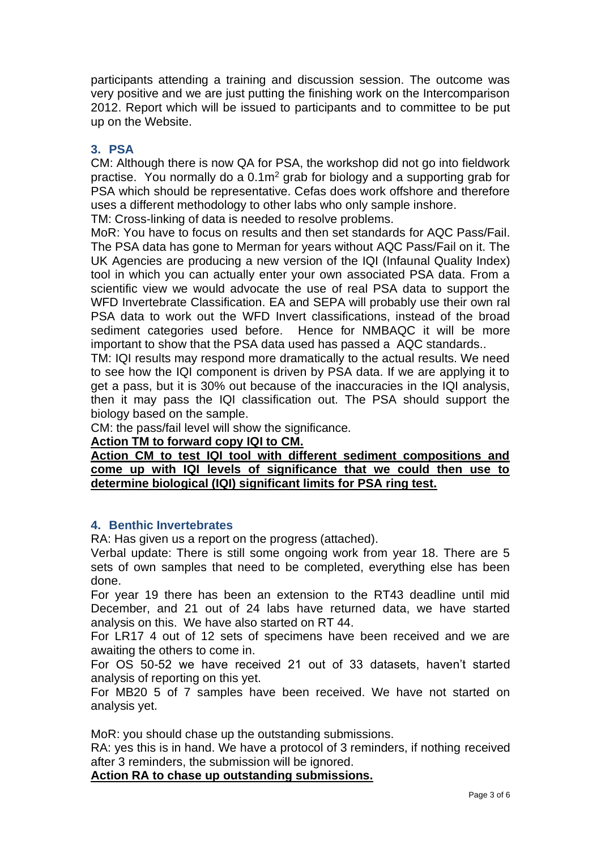participants attending a training and discussion session. The outcome was very positive and we are just putting the finishing work on the Intercomparison 2012. Report which will be issued to participants and to committee to be put up on the Website.

#### **3. PSA**

CM: Although there is now QA for PSA, the workshop did not go into fieldwork practise. You normally do a  $0.1\,\mathrm{m}^2$  grab for biology and a supporting grab for PSA which should be representative. Cefas does work offshore and therefore uses a different methodology to other labs who only sample inshore.

TM: Cross-linking of data is needed to resolve problems.

MoR: You have to focus on results and then set standards for AQC Pass/Fail. The PSA data has gone to Merman for years without AQC Pass/Fail on it. The UK Agencies are producing a new version of the IQI (Infaunal Quality Index) tool in which you can actually enter your own associated PSA data. From a scientific view we would advocate the use of real PSA data to support the WFD Invertebrate Classification. EA and SEPA will probably use their own ral PSA data to work out the WFD Invert classifications, instead of the broad sediment categories used before. Hence for NMBAQC it will be more important to show that the PSA data used has passed a AQC standards..

TM: IQI results may respond more dramatically to the actual results. We need to see how the IQI component is driven by PSA data. If we are applying it to get a pass, but it is 30% out because of the inaccuracies in the IQI analysis, then it may pass the IQI classification out. The PSA should support the biology based on the sample.

CM: the pass/fail level will show the significance.

#### **Action TM to forward copy IQI to CM.**

**Action CM to test IQI tool with different sediment compositions and come up with IQI levels of significance that we could then use to determine biological (IQI) significant limits for PSA ring test.**

# **4. Benthic Invertebrates**

RA: Has given us a report on the progress (attached).

Verbal update: There is still some ongoing work from year 18. There are 5 sets of own samples that need to be completed, everything else has been done.

For year 19 there has been an extension to the RT43 deadline until mid December, and 21 out of 24 labs have returned data, we have started analysis on this. We have also started on RT 44.

For LR17 4 out of 12 sets of specimens have been received and we are awaiting the others to come in.

For OS 50-52 we have received 21 out of 33 datasets, haven't started analysis of reporting on this yet.

For MB20 5 of 7 samples have been received. We have not started on analysis yet.

MoR: you should chase up the outstanding submissions.

RA: yes this is in hand. We have a protocol of 3 reminders, if nothing received after 3 reminders, the submission will be ignored.

**Action RA to chase up outstanding submissions.**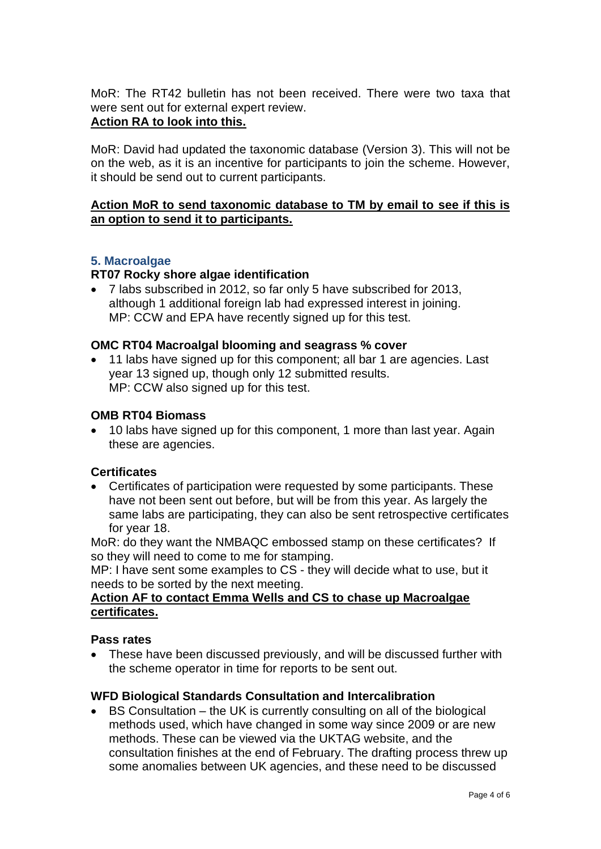MoR: The RT42 bulletin has not been received. There were two taxa that were sent out for external expert review.

# **Action RA to look into this.**

MoR: David had updated the taxonomic database (Version 3). This will not be on the web, as it is an incentive for participants to join the scheme. However, it should be send out to current participants.

# **Action MoR to send taxonomic database to TM by email to see if this is an option to send it to participants.**

# **5. Macroalgae**

#### **RT07 Rocky shore algae identification**

• 7 labs subscribed in 2012, so far only 5 have subscribed for 2013, although 1 additional foreign lab had expressed interest in joining. MP: CCW and EPA have recently signed up for this test.

#### **OMC RT04 Macroalgal blooming and seagrass % cover**

• 11 labs have signed up for this component; all bar 1 are agencies. Last year 13 signed up, though only 12 submitted results. MP: CCW also signed up for this test.

#### **OMB RT04 Biomass**

• 10 labs have signed up for this component, 1 more than last year. Again these are agencies.

#### **Certificates**

• Certificates of participation were requested by some participants. These have not been sent out before, but will be from this year. As largely the same labs are participating, they can also be sent retrospective certificates for year 18.

MoR: do they want the NMBAQC embossed stamp on these certificates? If so they will need to come to me for stamping.

MP: I have sent some examples to CS - they will decide what to use, but it needs to be sorted by the next meeting.

#### **Action AF to contact Emma Wells and CS to chase up Macroalgae certificates.**

#### **Pass rates**

• These have been discussed previously, and will be discussed further with the scheme operator in time for reports to be sent out.

#### **WFD Biological Standards Consultation and Intercalibration**

• BS Consultation – the UK is currently consulting on all of the biological methods used, which have changed in some way since 2009 or are new methods. These can be viewed via the UKTAG website, and the consultation finishes at the end of February. The drafting process threw up some anomalies between UK agencies, and these need to be discussed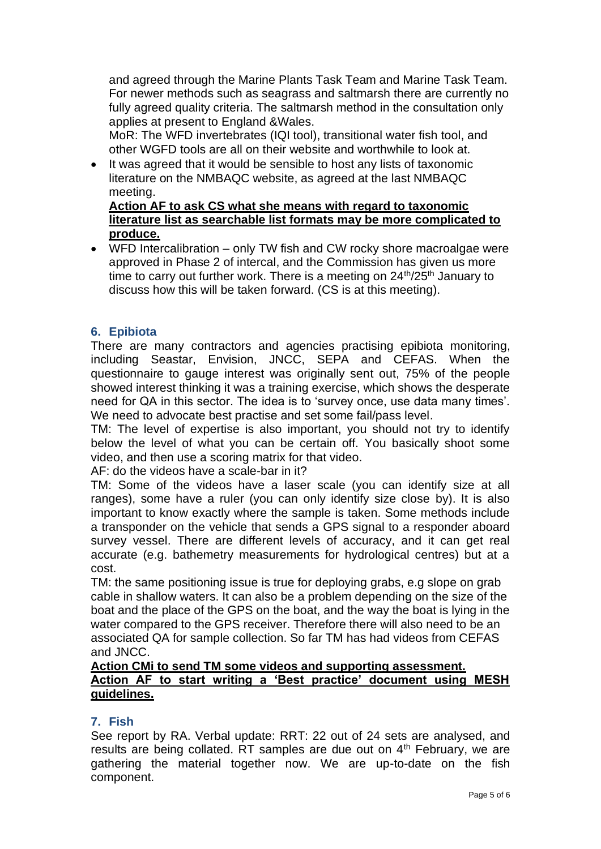and agreed through the Marine Plants Task Team and Marine Task Team. For newer methods such as seagrass and saltmarsh there are currently no fully agreed quality criteria. The saltmarsh method in the consultation only applies at present to England &Wales.

MoR: The WFD invertebrates (IQI tool), transitional water fish tool, and other WGFD tools are all on their website and worthwhile to look at.

• It was agreed that it would be sensible to host any lists of taxonomic literature on the NMBAQC website, as agreed at the last NMBAQC meeting.

**Action AF to ask CS what she means with regard to taxonomic literature list as searchable list formats may be more complicated to produce.**

• WFD Intercalibration – only TW fish and CW rocky shore macroalgae were approved in Phase 2 of intercal, and the Commission has given us more time to carry out further work. There is a meeting on  $24<sup>th</sup>/25<sup>th</sup>$  January to discuss how this will be taken forward. (CS is at this meeting).

# **6. Epibiota**

There are many contractors and agencies practising epibiota monitoring, including Seastar, Envision, JNCC, SEPA and CEFAS. When the questionnaire to gauge interest was originally sent out, 75% of the people showed interest thinking it was a training exercise, which shows the desperate need for QA in this sector. The idea is to 'survey once, use data many times'. We need to advocate best practise and set some fail/pass level.

TM: The level of expertise is also important, you should not try to identify below the level of what you can be certain off. You basically shoot some video, and then use a scoring matrix for that video.

AF: do the videos have a scale-bar in it?

TM: Some of the videos have a laser scale (you can identify size at all ranges), some have a ruler (you can only identify size close by). It is also important to know exactly where the sample is taken. Some methods include a transponder on the vehicle that sends a GPS signal to a responder aboard survey vessel. There are different levels of accuracy, and it can get real accurate (e.g. bathemetry measurements for hydrological centres) but at a cost.

TM: the same positioning issue is true for deploying grabs, e.g slope on grab cable in shallow waters. It can also be a problem depending on the size of the boat and the place of the GPS on the boat, and the way the boat is lying in the water compared to the GPS receiver. Therefore there will also need to be an associated QA for sample collection. So far TM has had videos from CEFAS and JNCC.

# **Action CMi to send TM some videos and supporting assessment. Action AF to start writing a 'Best practice' document using MESH guidelines.**

# **7. Fish**

See report by RA. Verbal update: RRT: 22 out of 24 sets are analysed, and results are being collated. RT samples are due out on 4<sup>th</sup> February, we are gathering the material together now. We are up-to-date on the fish component.